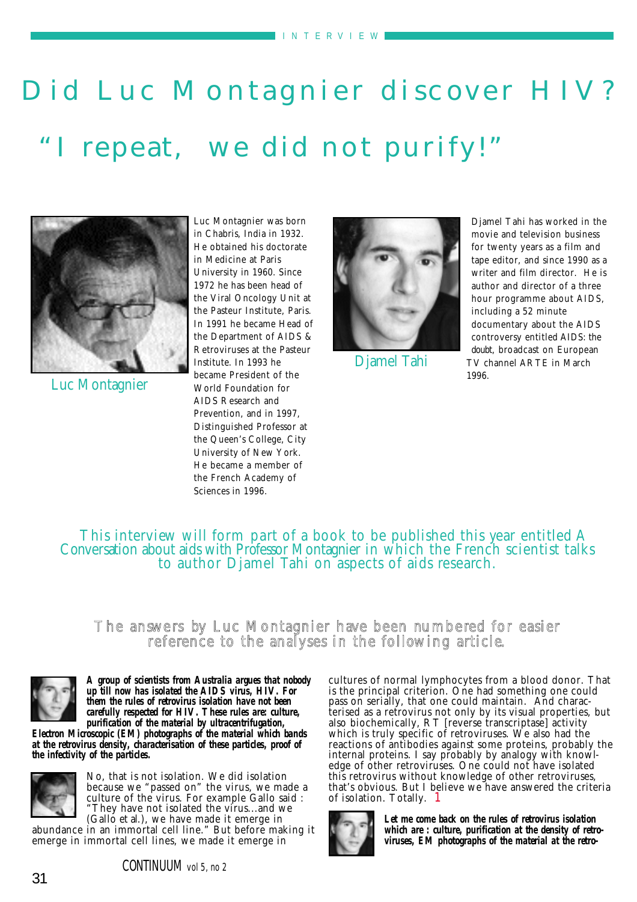# Did Luc Montagnier discover HIV? "I repeat, we did not purify!"



Luc Montagnier

Luc Montagnier was born in Chabris, India in 1932. He obtained his doctorate in Medicine at Paris University in 1960. Since 1972 he has been head of the Viral Oncology Unit at the Pasteur Institute, Paris. In 1991 he became Head of the Department of AIDS & Retroviruses at the Pasteur Institute. In 1993 he became President of the World Foundation for AIDS Research and Prevention, and in 1997, Distinguished Professor at the Queen's College, City University of New York. He became a member of the French Academy of Sciences in 1996.



Djamel Tahi

Djamel Tahi has worked in the movie and television business for twenty years as a film and tape editor, and since 1990 as a writer and film director. He is author and director of a three hour programme about AIDS, including a 52 minute documentary about the AIDS controversy entitled AIDS: the doubt, broadcast on European TV channel ARTE in March 1996.

## This interview will form part of a book to be published this year entitled A Conversation about aids with Professor Montagnier in which the French scientist talks to author Djamel Tahi on aspects of aids research.

### The answe rs by Luc Montagnier have been numbered for easier reference to the analyses in the following article.



*A group of scientists from Australia argues that nobody up till now has isolated the AIDS virus, HIV. For them the rules of retrovirus isolation have not been carefully respected for HIV. These rules are: culture, purification of the material by ultracentrifugation,*

*Electron Microscopic (EM) photographs of the material which bands at the retrovirus density, characterisation of these particles, proof of the infectivity of the particles.* 



No, that is not isolation. We did isolation because we "passed on" the virus, we made a culture of the virus. For example Gallo said : "They have not isolated the virus...and we (Gallo et al.), we have made it emerge in

abundance in an immortal cell line." But before making it emerge in immortal cell lines, we made it emerge in

cultures of normal lymphocytes from a blood donor. That is the principal criterion. One had something one could pass on serially, that one could maintain. And characterised as a retrovirus not only by its visual properties, but also biochemically, RT [reverse transcriptase] activity which is truly specific of retroviruses. We also had the reactions of antibodies against some proteins, probably the internal proteins. I say probably by analogy with knowledge of other retroviruses. One could not have isolated this retrovirus without knowledge of other retroviruses, that's obvious. But I believe we have answered the criteria of isolation. Totally. 1



*Let me come back on the rules of retrovirus isolation which are : culture, purification at the density of retroviruses, EM photographs of the material at the retro-*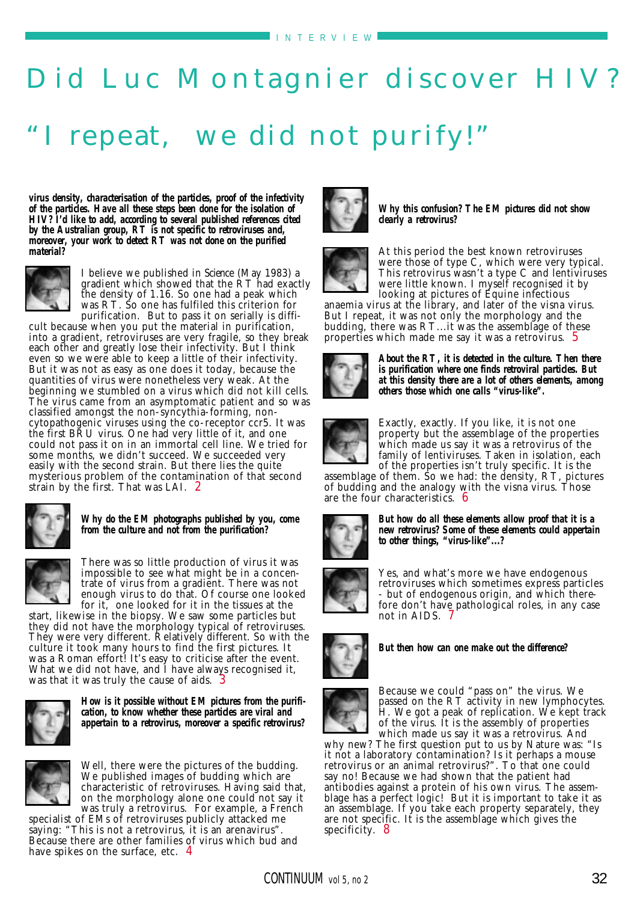# Did Luc Montagnier discover HIV? I repeat, we did not purify!"

*virus density, characterisation of the particles, proof of the infectivity of the particles. Have all these steps been done for the isolation of HIV? I'd like to add, according to several published references cited by the Australian group, RT is not specific to retroviruses and, moreover, your work to detect RT was not done on the purified material?*



I believe we published in Science (May 1983) a gradient which showed that the RT had exactly the density of 1.16. So one had a peak which was RT. So one has fulfiled this criterion for purification. But to pass it on serially is diffi-

cult because when you put the material in purification, into a gradient, retroviruses are very fragile, so they break each other and greatly lose their infectivity. But I think even so we were able to keep a little of their infectivity. But it was not as easy as one does it today, because the quantities of virus were nonetheless very weak. At the beginning we stumbled on a virus which did not kill cells. The virus came from an asymptomatic patient and so was classified amongst the non-syncythia-forming, noncytopathogenic viruses using the co-receptor ccr5. It was the first BRU virus. One had very little of it, and one could not pass it on in an immortal cell line. We tried for some months, we didn't succeed. We succeeded very easily with the second strain. But there lies the quite mysterious problem of the contamination of that second strain by the first. That was LAI. 2



*Why do the EM photographs published by you, come from the culture and not from the purification?* 

There was so little production of virus it was impossible to see what might be in a concentrate of virus from a gradient. There was not enough virus to do that. Of course one looked for it, one looked for it in the tissues at the

start, likewise in the biopsy. We saw some particles but they did not have the morphology typical of retroviruses. They were very different. Relatively different. So with the culture it took many hours to find the first pictures. It was a Roman effort! It's easy to criticise after the event. What we did not have, and I have always recognised it, was that it was truly the cause of aids.



*How is it possible without EM pictures from the purification, to know whether these particles are viral and appertain to a retrovirus, moreover a specific retrovirus?* 



Well, there were the pictures of the budding. We published images of budding which are characteristic of retroviruses. Having said that, on the morphology alone one could not say it was truly a retrovirus. For example, a French

specialist of EMs of retroviruses publicly attacked me saying: "This is not a retrovirus, it is an arenavirus". Because there are other families of virus which bud and have spikes on the surface, etc. 4



*Why this confusion? The EM pictures did not show clearly a retrovirus?* 



At this period the best known retroviruses were those of type C, which were very typical. This retrovirus wasn't a type C and lentiviruses were little known. I myself recognised it by looking at pictures of Equine infectious

anaemia virus at the library, and later of the visna virus. But I repeat, it was not only the morphology and the budding, there was RT...it was the assemblage of these properties which made me say it was a retrovirus. 5



*About the RT, it is detected in the culture. Then there is purification where one finds retroviral particles. But at this density there are a lot of others elements, among others those which one calls "virus-like".*



Exactly, exactly. If you like, it is not one property but the assemblage of the properties which made us say it was a retrovirus of the family of lentiviruses. Taken in isolation, each of the properties isn't truly specific. It is the

assemblage of them. So we had: the density, RT, pictures of budding and the analogy with the visna virus. Those are the four characteristics. 6



*But how do all these elements allow proof that it is a new retrovirus? Some of these elements could appertain to other things, "virus-like"...?*

Yes, and what's more we have endogenous retroviruses which sometimes express particles - but of endogenous origin, and which therefore don't have pathological roles, in any case not in AIDS. 7



*But then how can one make out the difference?* 



Because we could "pass on" the virus. We passed on the RT activity in new lymphocytes. H. We got a peak of replication. We kept track of the virus. It is the assembly of properties which made us say it was a retrovirus. And

why new? The first question put to us by Nature was: "Is it not a laboratory contamination? Is it perhaps a mouse retrovirus or an animal retrovirus?". To that one could say no! Because we had shown that the patient had antibodies against a protein of his own virus. The assemblage has a perfect logic! But it is important to take it as an assemblage. If you take each property separately, they are not specific. It is the assemblage which gives the specificity. 8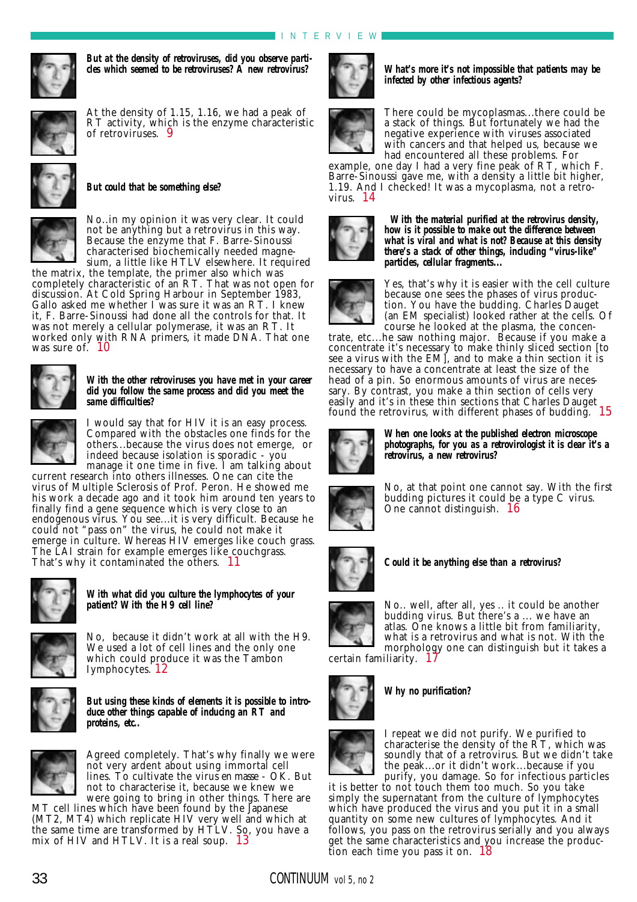

*But at the density of retroviruses, did you observe particles which seemed to be retroviruses? A new retrovirus?* 



At the density of 1.15, 1.16, we had a peak of RT activity, which is the enzyme characteristic of retroviruses. 9



#### *But could that be something else?*



No..in my opinion it was very clear. It could not be anything but a retrovirus in this way. Because the enzyme that F. Barre-Sinoussi characterised biochemically needed magnesium, a little like HTLV elsewhere. It required

the matrix, the template, the primer also which was completely characteristic of an RT. That was not open for discussion. At Cold Spring Harbour in September 1983, Gallo asked me whether I was sure it was an RT. I knew it, F. Barre-Sinoussi had done all the controls for that. It was not merely a cellular polymerase, it was an RT. It worked only with RNA primers, it made DNA. That one was sure of.  $10$ 



#### *With the other retroviruses you have met in your career did you follow the same process and did you meet the same difficulties?*

I would say that for HIV it is an easy process. Compared with the obstacles one finds for the others...because the virus does not emerge, or indeed because isolation is sporadic - you manage it one time in five. I am talking about current research into others illnesses. One can cite the virus of Multiple Sclerosis of Prof. Peron. He showed me

his work a decade ago and it took him around ten years to finally find a gene sequence which is very close to an endogenous virus. You see...it is very difficult. Because he could not "pass on" the virus, he could not make it emerge in culture. Whereas HIV emerges like couch grass. The LAI strain for example emerges like couchgrass. That's why it contaminated the others. 11



*With what did you culture the lymphocytes of your patient? With the H9 cell line?* 



No, because it didn't work at all with the H9. We used a lot of cell lines and the only one which could produce it was the Tambon Iymphocytes. 12



*But using these kinds of elements it is possible to introduce other things capable of inducing an RT and proteins, etc..* 



Agreed completely. That's why finally we were not very ardent about using immortal cell lines. To cultivate the virus en masse - OK. But not to characterise it, because we knew we were going to bring in other things. There are

MT cell lines which have been found by the Japanese (MT2, MT4) which replicate HIV very well and which at the same time are transformed by HTLV. So, you have a mix of HIV and HTLV. It is a real soup. 13



*What's more it's not impossible that patients may be infected by other infectious agents?* 



There could be mycoplasmas...there could be a stack of things. But fortunately we had the negative experience with viruses associated with cancers and that helped us, because we had encountered all these problems. For

example, one day I had a very fine peak of RT, which F. Barre-Sinoussi gave me, with a density a little bit higher, 1.19. And I checked! It was a mycoplasma, not a retrovirus. 14



*With the material purified at the retrovirus density, how is it possible to make out the difference between what is viral and what is not? Because at this density there's a stack of other things, including "virus-like" particles, cellular fragments...* 



Yes, that's why it is easier with the cell culture because one sees the phases of virus production. You have the budding. Charles Dauget (an EM specialist) looked rather at the cells. Of course he looked at the plasma, the concen-

trate, etc...he saw nothing major. Because if you make a concentrate it's necessary to make thinly sliced section [to see a virus with the EM], and to make a thin section it is necessary to have a concentrate at least the size of the head of a pin. So enormous amounts of virus are necessary. By contrast, you make a thin section of cells very easily and it's in these thin sections that Charles Dauget found the retrovirus, with different phases of budding. 15



*When one looks at the published electron microscope photographs, for you as a retrovirologist it is clear it's a retrovirus, a new retrovirus?* 



No, at that point one cannot say. With the first budding pictures it could be a type C virus. One cannot distinguish. 16



*Could it be anything else than a retrovirus?* 



No.. well, after all, yes .. it could be another budding virus. But there's a ... we have an atlas. One knows a little bit from familiarity, what is a retrovirus and what is not. With the morphology one can distinguish but it takes a

certain familiarity.  $1^{\circ}$ 



*Why no purification?*



I repeat we did not purify. We purified to characterise the density of the RT, which was soundly that of a retrovirus. But we didn't take the peak...or it didn't work...because if you purify, you damage. So for infectious particles

it is better to not touch them too much. So you take simply the supernatant from the culture of lymphocytes which have produced the virus and you put it in a small quantity on some new cultures of lymphocytes. And it follows, you pass on the retrovirus serially and you always get the same characteristics and you increase the production each time you pass it on. 18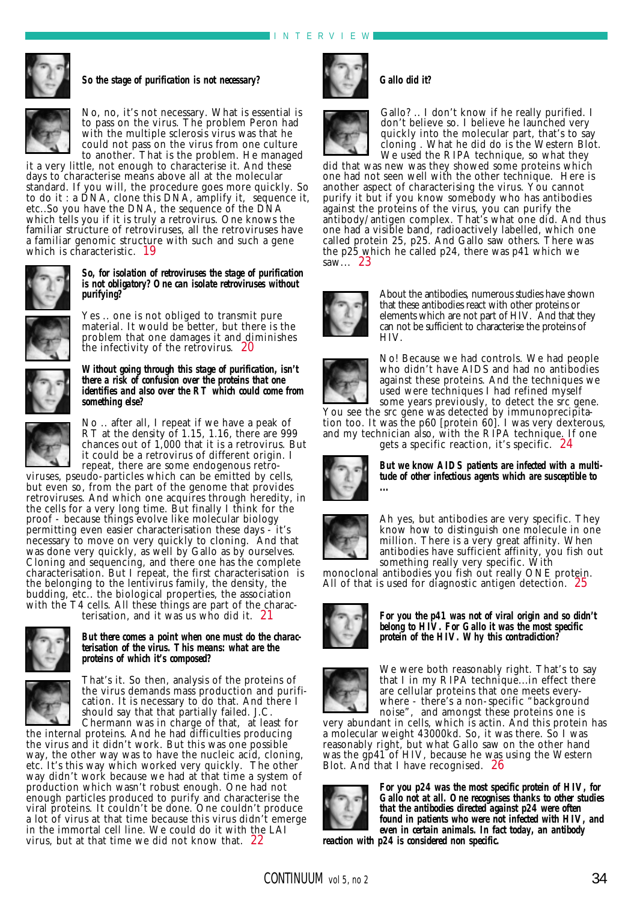#### INTER VIEW



*So the stage of purification is not necessary?*



No, no, it's not necessary. What is essential is to pass on the virus. The problem Peron had with the multiple sclerosis virus was that he could not pass on the virus from one culture to another. That is the problem. He managed

it a very little, not enough to characterise it. And these days to characterise means above all at the molecular standard. If you will, the procedure goes more quickly. So to do it : a DNA, clone this DNA, amplify it, sequence it, etc..So you have the DNA, the sequence of the DNA which tells you if it is truly a retrovirus. One knows the familiar structure of retroviruses, all the retroviruses have a familiar genomic structure with such and such a gene which is characteristic. 19



#### *So, for isolation of retroviruses the stage of purification is not obligatory? One can isolate retroviruses without purifying?*

Yes .. one is not obliged to transmit pure material. It would be better, but there is the problem that one damages it and diminishes the infectivity of the retrovirus. 20



#### *Without going through this stage of purification, isn't there a risk of confusion over the proteins that one identifies and also over the RT which could come from something else?*



No .. after all, I repeat if we have a peak of RT at the density of 1.15, 1.16, there are 999 chances out of 1,000 that it is a retrovirus. But it could be a retrovirus of different origin. I repeat, there are some endogenous retro-

viruses, pseudo-particles which can be emitted by cells, but even so, from the part of the genome that provides retroviruses. And which one acquires through heredity, in the cells for a very long time. But finally I think for the proof - because things evolve like molecular biology permitting even easier characterisation these days - it's necessary to move on very quickly to cloning. And that was done very quickly, as well by Gallo as by ourselves. Cloning and sequencing, and there one has the complete characterisation. But I repeat, the first characterisation is the belonging to the lentivirus family, the density, the budding, etc.. the biological properties, the association with the T4 cells. All these things are part of the charac-

terisation, and it was us who did it.  $21$ 



#### *But there comes a point when one must do the characterisation of the virus. This means: what are the proteins of which it's composed?*



That's it. So then, analysis of the proteins of the virus demands mass production and purification. It is necessary to do that. And there I should say that that partially failed. J.C. Chermann was in charge of that, at least for

the internal proteins. And he had difficulties producing the virus and it didn't work. But this was one possible way, the other way was to have the nucleic acid, cloning, etc. It's this way which worked very quickly. The other way didn't work because we had at that time a system of production which wasn't robust enough. One had not enough particles produced to purify and characterise the viral proteins. It couldn't be done. One couldn't produce a lot of virus at that time because this virus didn't emerge in the immortal cell line. We could do it with the LAI virus, but at that time we did not know that. 22



### *Gallo did it?*



Gallo? .. I don't know if he really purified. I don't believe so. I believe he launched very quickly into the molecular part, that's to say cloning . What he did do is the Western Blot. We used the RIPA technique, so what they

did that was new was they showed some proteins which one had not seen well with the other technique. Here is another aspect of characterising the virus. You cannot purify it but if you know somebody who has antibodies against the proteins of the virus, you can purify the antibody/antigen complex. That's what one did. And thus one had a visible band, radioactively labelled, which one called protein 25, p25. And Gallo saw others. There was the p25 which he called p24, there was p41 which we saw... 23



About the antibodies, numerous studies have shown that these antibodies react with other proteins or elements which are not part of HIV. And that they can not be sufficient to characterise the proteins of HIV.



No! Because we had controls. We had people who didn't have AIDS and had no antibodies against these proteins. And the techniques we used were techniques I had refined myself some years previously, to detect the src gene.

You see the src gene was detected by immunoprecipitation too. It was the p60 [protein 60]. I was very dexterous, and my technician also, with the RIPA technique. If one





*But we know AIDS patients are infected with a multitude of other infectious agents which are susceptible to ...* 



Ah yes, but antibodies are very specific. They know how to distinguish one molecule in one million. There is a very great affinity. When antibodies have sufficient affinity, you fish out something really very specific. With

monoclonal antibodies you fish out really ONE protein. All of that is used for diagnostic antigen detection. 25



*For you the p41 was not of viral origin and so didn't belong to HIV. For Gallo it was the most specific protein of the HIV. Why this contradiction?* 



We were both reasonably right. That's to say that I in my RIPA technique...in effect there are cellular proteins that one meets everywhere - there's a non-specific "background noise", and amongst these proteins one is

very abundant in cells, which is actin. And this protein has a molecular weight 43000kd. So, it was there. So I was reasonably right, but what Gallo saw on the other hand was the gp41 of HIV, because he was using the Western Blot. And that I have recognised. 26



*For you p24 was the most specific protein of HIV, for Gallo not at all. One recognises thanks to other studies that the antibodies directed against p24 were often found in patients who were not infected with HIV, and even in certain animals. In fact today, an antibody*

*reaction with p24 is considered non specific.*